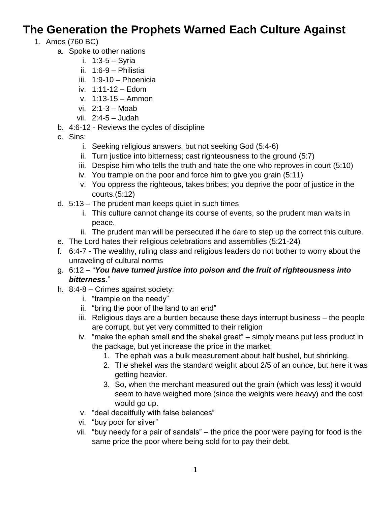## **The Generation the Prophets Warned Each Culture Against**

- 1. Amos (760 BC)
	- a. Spoke to other nations
		- i. 1:3-5 Syria
		- ii. 1:6-9 Philistia
		- iii. 1:9-10 Phoenicia
		- iv. 1:11-12 Edom
		- v. 1:13-15 Ammon
		- vi. 2:1-3 Moab
		- vii. 2:4-5 Judah
	- b. 4:6-12 Reviews the cycles of discipline
	- c. Sins:
		- i. Seeking religious answers, but not seeking God (5:4-6)
		- ii. Turn justice into bitterness; cast righteousness to the ground (5:7)
		- iii. Despise him who tells the truth and hate the one who reproves in court (5:10)
		- iv. You trample on the poor and force him to give you grain (5:11)
		- v. You oppress the righteous, takes bribes; you deprive the poor of justice in the courts.(5:12)
	- d. 5:13 The prudent man keeps quiet in such times
		- i. This culture cannot change its course of events, so the prudent man waits in peace.
		- ii. The prudent man will be persecuted if he dare to step up the correct this culture.
	- e. The Lord hates their religious celebrations and assemblies (5:21-24)
	- f. 6:4-7 The wealthy, ruling class and religious leaders do not bother to worry about the unraveling of cultural norms
	- g. 6:12 "*You have turned justice into poison and the fruit of righteousness into bitterness*."
	- h. 8:4-8 Crimes against society:
		- i. "trample on the needy"
		- ii. "bring the poor of the land to an end"
		- iii. Religious days are a burden because these days interrupt business the people are corrupt, but yet very committed to their religion
		- iv. "make the ephah small and the shekel great" simply means put less product in the package, but yet increase the price in the market.
			- 1. The ephah was a bulk measurement about half bushel, but shrinking.
			- 2. The shekel was the standard weight about 2/5 of an ounce, but here it was getting heavier.
			- 3. So, when the merchant measured out the grain (which was less) it would seem to have weighed more (since the weights were heavy) and the cost would go up.
		- v. "deal deceitfully with false balances"
		- vi. "buy poor for silver"
		- vii. "buy needy for a pair of sandals" the price the poor were paying for food is the same price the poor where being sold for to pay their debt.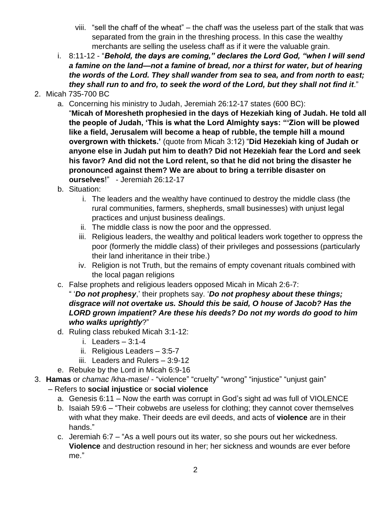- viii. "sell the chaff of the wheat" the chaff was the useless part of the stalk that was separated from the grain in the threshing process. In this case the wealthy merchants are selling the useless chaff as if it were the valuable grain.
- i. 8:11-12 "*Behold, the days are coming," declares the Lord God, "when I will send a famine on the land—not a famine of bread, nor a thirst for water, but of hearing the words of the Lord. They shall wander from sea to sea, and from north to east; they shall run to and fro, to seek the word of the Lord, but they shall not find it*."
- 2. Micah 735-700 BC
	- a. Concerning his ministry to Judah, Jeremiah 26:12-17 states (600 BC):

"**Micah of Moresheth prophesied in the days of Hezekiah king of Judah. He told all the people of Judah, 'This is what the Lord Almighty says: "'Zion will be plowed like a field, Jerusalem will become a heap of rubble, the temple hill a mound overgrown with thickets.'** (quote from Micah 3:12) "**Did Hezekiah king of Judah or anyone else in Judah put him to death? Did not Hezekiah fear the Lord and seek his favor? And did not the Lord relent, so that he did not bring the disaster he pronounced against them? We are about to bring a terrible disaster on ourselves**!" - Jeremiah 26:12-17

- b. Situation:
	- i. The leaders and the wealthy have continued to destroy the middle class (the rural communities, farmers, shepherds, small businesses) with unjust legal practices and unjust business dealings.
	- ii. The middle class is now the poor and the oppressed.
	- iii. Religious leaders, the wealthy and political leaders work together to oppress the poor (formerly the middle class) of their privileges and possessions (particularly their land inheritance in their tribe.)
	- iv. Religion is not Truth, but the remains of empty covenant rituals combined with the local pagan religions
- c. False prophets and religious leaders opposed Micah in Micah 2:6-7:
	- " '*Do not prophesy*,' their prophets say. '*Do not prophesy about these things; disgrace will not overtake us. Should this be said, O house of Jacob? Has the LORD grown impatient? Are these his deeds? Do not my words do good to him who walks uprightly*?"
- d. Ruling class rebuked Micah 3:1-12:
	- i. Leaders 3:1-4
	- ii. Religious Leaders 3:5-7
	- iii. Leaders and Rulers 3:9-12
- e. Rebuke by the Lord in Micah 6:9-16
- 3. **Hamas** or *chamac* /kha-mase/ "violence" "cruelty" "wrong" "injustice" "unjust gain" – Refers to **social injustice** or **social violence**
	- a. Genesis 6:11 Now the earth was corrupt in God's sight ad was full of VIOLENCE
	- b. Isaiah 59:6 "Their cobwebs are useless for clothing; they cannot cover themselves with what they make. Their deeds are evil deeds, and acts of **violence** are in their hands."
	- c. Jeremiah 6:7 "As a well pours out its water, so she pours out her wickedness. **Violence** and destruction resound in her; her sickness and wounds are ever before me."